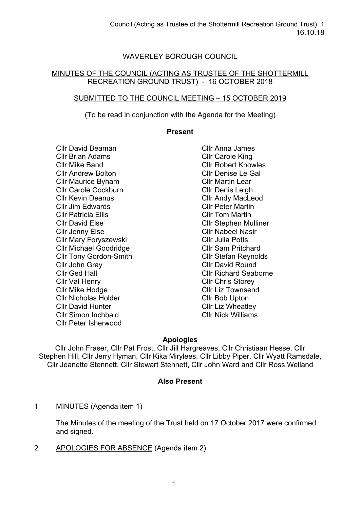# WAVERLEY BOROUGH COUNCIL

## MINUTES OF THE COUNCIL (ACTING AS TRUSTEE OF THE SHOTTERMILL RECREATION GROUND TRUST) - 16 OCTOBER 2018

## SUBMITTED TO THE COUNCIL MEETING – 15 OCTOBER 2019

(To be read in conjunction with the Agenda for the Meeting)

#### **Present**

Cllr David Beaman Cllr Brian Adams Cllr Mike Band Cllr Andrew Bolton Cllr Maurice Byham Cllr Carole Cockburn Cllr Kevin Deanus Cllr Jim Edwards Cllr Patricia Ellis Cllr David Else Cllr Jenny Else Cllr Mary Foryszewski Cllr Michael Goodridge Cllr Tony Gordon-Smith Cllr John Gray Cllr Ged Hall Cllr Val Henry Cllr Mike Hodge Cllr Nicholas Holder Cllr David Hunter Cllr Simon Inchbald Cllr Peter Isherwood

Cllr Anna James Cllr Carole King Cllr Robert Knowles Cllr Denise Le Gal Cllr Martin Lear Cllr Denis Leigh Cllr Andy MacLeod Cllr Peter Martin Cllr Tom Martin Cllr Stephen Mulliner Cllr Nabeel Nasir Cllr Julia Potts Cllr Sam Pritchard Cllr Stefan Reynolds Cllr David Round Cllr Richard Seaborne Cllr Chris Storey Cllr Liz Townsend Cllr Bob Upton Cllr Liz Wheatley Cllr Nick Williams

## **Apologies**

Cllr John Fraser, Cllr Pat Frost, Cllr Jill Hargreaves, Cllr Christiaan Hesse, Cllr Stephen Hill, Cllr Jerry Hyman, Cllr Kika Mirylees, Cllr Libby Piper, Cllr Wyatt Ramsdale, Cllr Jeanette Stennett, Cllr Stewart Stennett, Cllr John Ward and Cllr Ross Welland

## **Also Present**

1 MINUTES (Agenda item 1)

The Minutes of the meeting of the Trust held on 17 October 2017 were confirmed and signed.

2 APOLOGIES FOR ABSENCE (Agenda item 2)